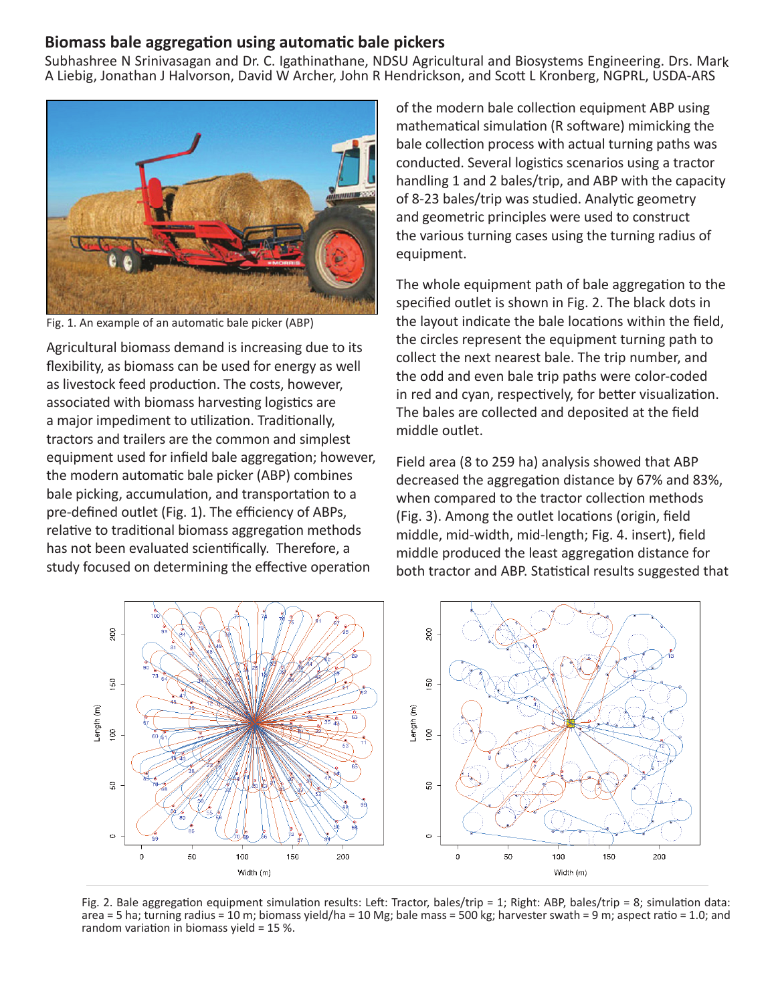## **Biomass bale aggregation using automatic bale pickers**

Subhashree N Srinivasagan and Dr. C. Igathinathane, NDSU Agricultural and Biosystems Engineering. Drs. Mark A Liebig, Jonathan J Halvorson, David W Archer, John R Hendrickson, and Scott L Kronberg, NGPRL, USDA-ARS



Fig. 1. An example of an automatic bale picker (ABP)

Agricultural biomass demand is increasing due to its flexibility, as biomass can be used for energy as well as livestock feed production. The costs, however, associated with biomass harvesting logistics are a major impediment to utilization. Traditionally, tractors and trailers are the common and simplest equipment used for infield bale aggregation; however, the modern automatic bale picker (ABP) combines bale picking, accumulation, and transportation to a pre-defined outlet (Fig. 1). The efficiency of ABPs, relative to traditional biomass aggregation methods has not been evaluated scientifically. Therefore, a study focused on determining the effective operation

of the modern bale collection equipment ABP using mathematical simulation (R software) mimicking the bale collection process with actual turning paths was conducted. Several logistics scenarios using a tractor handling 1 and 2 bales/trip, and ABP with the capacity of 8-23 bales/trip was studied. Analytic geometry and geometric principles were used to construct the various turning cases using the turning radius of equipment.

The whole equipment path of bale aggregation to the specified outlet is shown in Fig. 2. The black dots in the layout indicate the bale locations within the field, the circles represent the equipment turning path to collect the next nearest bale. The trip number, and the odd and even bale trip paths were color-coded in red and cyan, respectively, for better visualization. The bales are collected and deposited at the field middle outlet.

Field area (8 to 259 ha) analysis showed that ABP decreased the aggregation distance by 67% and 83%, when compared to the tractor collection methods (Fig. 3). Among the outlet locations (origin, field middle, mid-width, mid-length; Fig. 4. insert), field middle produced the least aggregation distance for both tractor and ABP. Statistical results suggested that



Fig. 2. Bale aggregation equipment simulation results: Left: Tractor, bales/trip = 1; Right: ABP, bales/trip = 8; simulation data: area = 5 ha; turning radius = 10 m; biomass yield/ha = 10 Mg; bale mass = 500 kg; harvester swath = 9 m; aspect ratio = 1.0; and random variation in biomass yield = 15 %.